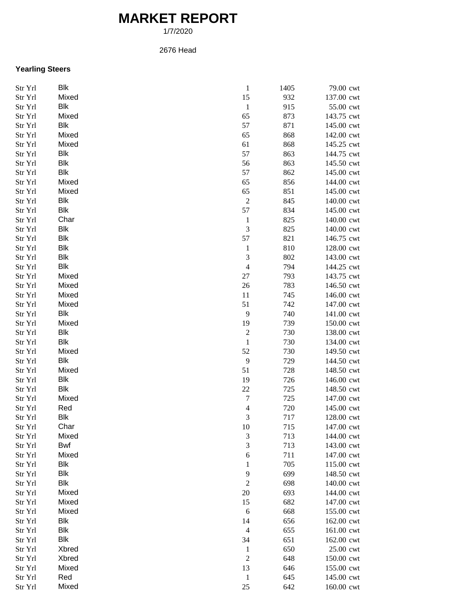## **MARKET REPORT**

1/7/2020

## 2676 Head

## **Yearling Steers**

| Str Yrl | Blk        | $\,1\,$                  | 1405 | 79.00 cwt  |
|---------|------------|--------------------------|------|------------|
| Str Yrl | Mixed      | 15                       | 932  | 137.00 cwt |
| Str Yrl | <b>Blk</b> | $\mathbf{1}$             | 915  | 55.00 cwt  |
| Str Yrl | Mixed      | 65                       | 873  | 143.75 cwt |
| Str Yrl | <b>Blk</b> | 57                       | 871  | 145.00 cwt |
| Str Yrl | Mixed      | 65                       | 868  | 142.00 cwt |
| Str Yrl | Mixed      | 61                       | 868  | 145.25 cwt |
| Str Yrl | Blk        | 57                       | 863  | 144.75 cwt |
| Str Yrl | <b>Blk</b> | 56                       | 863  | 145.50 cwt |
| Str Yrl | Blk        | 57                       | 862  | 145.00 cwt |
| Str Yrl | Mixed      | 65                       | 856  | 144.00 cwt |
| Str Yrl | Mixed      | 65                       | 851  | 145.00 cwt |
| Str Yrl | <b>Blk</b> | $\boldsymbol{2}$         | 845  | 140.00 cwt |
| Str Yrl | <b>Blk</b> | 57                       | 834  | 145.00 cwt |
| Str Yrl | Char       | $\mathbf{1}$             | 825  | 140.00 cwt |
|         | <b>Blk</b> | $\mathfrak{Z}$           | 825  | 140.00 cwt |
| Str Yrl | <b>Blk</b> | 57                       |      | 146.75 cwt |
| Str Yrl |            |                          | 821  |            |
| Str Yrl | Blk        | $\mathbf{1}$             | 810  | 128.00 cwt |
| Str Yrl | <b>Blk</b> | 3                        | 802  | 143.00 cwt |
| Str Yrl | <b>Blk</b> | $\overline{4}$           | 794  | 144.25 cwt |
| Str Yrl | Mixed      | $27\,$                   | 793  | 143.75 cwt |
| Str Yrl | Mixed      | 26                       | 783  | 146.50 cwt |
| Str Yrl | Mixed      | 11                       | 745  | 146.00 cwt |
| Str Yrl | Mixed      | 51                       | 742  | 147.00 cwt |
| Str Yrl | Blk        | 9                        | 740  | 141.00 cwt |
| Str Yrl | Mixed      | 19                       | 739  | 150.00 cwt |
| Str Yrl | Blk        | $\sqrt{2}$               | 730  | 138.00 cwt |
| Str Yrl | <b>Blk</b> | $\mathbf{1}$             | 730  | 134.00 cwt |
| Str Yrl | Mixed      | 52                       | 730  | 149.50 cwt |
| Str Yrl | <b>Blk</b> | $\overline{9}$           | 729  | 144.50 cwt |
| Str Yrl | Mixed      | 51                       | 728  | 148.50 cwt |
| Str Yrl | <b>Blk</b> | 19                       | 726  | 146.00 cwt |
| Str Yrl | Blk        | 22                       | 725  | 148.50 cwt |
| Str Yrl | Mixed      | $\boldsymbol{7}$         | 725  | 147.00 cwt |
| Str Yrl | Red        | $\overline{\mathcal{L}}$ | 720  | 145.00 cwt |
| Str Yrl | Blk        | $\mathfrak{Z}$           | 717  | 128.00 cwt |
| Str Yrl | Char       | 10                       | 715  | 147.00 cwt |
| Str Yrl | Mixed      | 3                        | 713  | 144.00 cwt |
| Str Yrl | Bwf        | 3                        | 713  | 143.00 cwt |
| Str Yrl | Mixed      | $\boldsymbol{6}$         | 711  | 147.00 cwt |
| Str Yrl | <b>Blk</b> | $\mathbf{1}$             | 705  | 115.00 cwt |
| Str Yrl | Blk        | 9                        | 699  | 148.50 cwt |
| Str Yrl | Blk        | $\boldsymbol{2}$         | 698  | 140.00 cwt |
| Str Yrl | Mixed      | $20\,$                   | 693  | 144.00 cwt |
| Str Yrl | Mixed      | 15                       | 682  | 147.00 cwt |
| Str Yrl | Mixed      | 6                        | 668  | 155.00 cwt |
|         | <b>Blk</b> |                          |      | 162.00 cwt |
| Str Yrl | <b>Blk</b> | 14                       | 656  |            |
| Str Yrl | Blk        | $\overline{4}$           | 655  | 161.00 cwt |
| Str Yrl |            | 34                       | 651  | 162.00 cwt |
| Str Yrl | Xbred      | $\mathbf{1}$             | 650  | 25.00 cwt  |
| Str Yrl | Xbred      | $\boldsymbol{2}$         | 648  | 150.00 cwt |
| Str Yrl | Mixed      | 13                       | 646  | 155.00 cwt |
| Str Yrl | Red        | $\mathbf{1}$             | 645  | 145.00 cwt |
| Str Yrl | Mixed      | $25\,$                   | 642  | 160.00 cwt |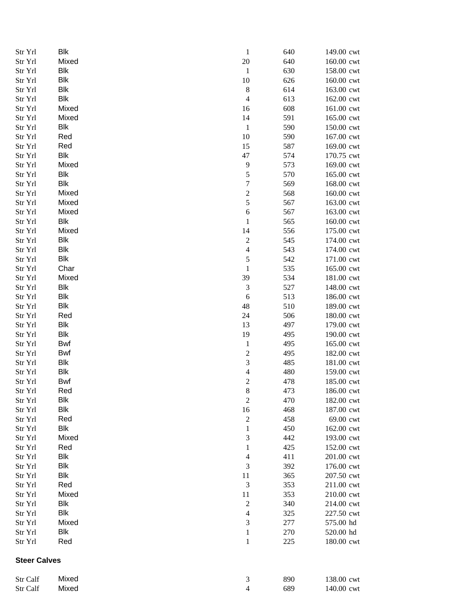| Str Yrl             | Blk        | $\mathbf{1}$             | 640        | 149.00 cwt               |
|---------------------|------------|--------------------------|------------|--------------------------|
| Str Yrl             | Mixed      | 20                       | 640        | 160.00 cwt               |
| Str Yrl             | Blk        | $\mathbf{1}$             | 630        | 158.00 cwt               |
| Str Yrl             | <b>Blk</b> | 10                       | 626        | 160.00 cwt               |
| Str Yrl             | <b>Blk</b> | $\,$ $\,$                | 614        | 163.00 cwt               |
| Str Yrl             | <b>Blk</b> | $\overline{4}$           | 613        | 162.00 cwt               |
| Str Yrl             | Mixed      | 16                       | 608        | 161.00 cwt               |
| Str Yrl             | Mixed      | 14                       | 591        | 165.00 cwt               |
| Str Yrl             | Blk        | $\mathbf{1}$             | 590        | 150.00 cwt               |
| Str Yrl             | Red        | 10                       | 590        | 167.00 cwt               |
| Str Yrl             | Red        | 15                       | 587        | 169.00 cwt               |
| Str Yrl             | Blk        | 47                       | 574        | 170.75 cwt               |
| Str Yrl             | Mixed      | 9                        | 573        | 169.00 cwt               |
| Str Yrl             | <b>Blk</b> | 5                        | 570        | 165.00 cwt               |
| Str Yrl             | Blk        | $\overline{7}$           | 569        | 168.00 cwt               |
| Str Yrl             | Mixed      | $\overline{\mathbf{c}}$  | 568        | 160.00 cwt               |
| Str Yrl             | Mixed      | 5                        | 567        | 163.00 cwt               |
| Str Yrl             | Mixed      | 6                        | 567        | 163.00 cwt               |
| Str Yrl             | Blk        | $\mathbf{1}$             | 565        | 160.00 cwt               |
| Str Yrl             | Mixed      | 14                       | 556        | 175.00 cwt               |
| Str Yrl             | <b>Blk</b> | $\overline{c}$           | 545        | 174.00 cwt               |
| Str Yrl             | <b>Blk</b> | $\overline{4}$           | 543        | 174.00 cwt               |
| Str Yrl             | Blk        | 5                        | 542        | 171.00 cwt               |
| Str Yrl             | Char       | $\,1$                    | 535        | 165.00 cwt               |
|                     | Mixed      |                          |            |                          |
| Str Yrl             | <b>Blk</b> | 39                       | 534        | 181.00 cwt               |
| Str Yrl             |            | $\sqrt{3}$               | 527        | 148.00 cwt               |
| Str Yrl             | Blk        | $\boldsymbol{6}$         | 513        | 186.00 cwt               |
| Str Yrl             | <b>Blk</b> | 48                       | 510        | 189.00 cwt               |
| Str Yrl             | Red        | 24                       | 506        | 180.00 cwt               |
| Str Yrl             | Blk        | 13                       | 497        | 179.00 cwt               |
| Str Yrl             | <b>Blk</b> | 19                       | 495        | 190.00 cwt               |
| Str Yrl             | Bwf        | $\mathbf{1}$             | 495        | 165.00 cwt               |
| Str Yrl             | Bwf        | $\overline{c}$           | 495        | 182.00 cwt               |
| Str Yrl             | Blk        | 3                        | 485        | 181.00 cwt               |
| Str Yrl             | <b>Blk</b> | $\overline{\mathcal{L}}$ | 480        | 159.00 cwt               |
| Str Yrl             | Bwf        | $\overline{\mathbf{c}}$  | 478        | 185.00 cwt               |
| Str Yrl             | Red        | 8                        | 473        | 186.00 cwt               |
| Str Yrl             | Blk        | $\sqrt{2}$               | 470        | 182.00 cwt               |
| Str Yrl             | Blk        | 16                       | 468        | 187.00 cwt               |
| Str Yrl             | Red        | $\overline{c}$           | 458        | 69.00 cwt                |
| Str Yrl             | Blk        | $\mathbf{1}$             | 450        | 162.00 cwt               |
| Str Yrl             | Mixed      | 3                        | 442        | 193.00 cwt               |
| Str Yrl             | Red        | $\mathbf{1}$             | 425        | 152.00 cwt               |
| Str Yrl             | <b>Blk</b> | $\overline{4}$           | 411        | 201.00 cwt               |
| Str Yrl             | Blk        | 3                        | 392        | 176.00 cwt               |
| Str Yrl             | <b>Blk</b> | 11                       | 365        | 207.50 cwt               |
| Str Yrl             | Red        | 3                        | 353        | 211.00 cwt               |
| Str Yrl             | Mixed      | 11                       | 353        | 210.00 cwt               |
| Str Yrl             | Blk        | $\overline{\mathbf{c}}$  | 340        | 214.00 cwt               |
| Str Yrl             | Blk        | $\overline{4}$           | 325        | 227.50 cwt               |
| Str Yrl             | Mixed      | 3                        | 277        | 575.00 hd                |
| Str Yrl             | Blk        | $\mathbf{1}$             | 270        | 520.00 hd                |
| Str Yrl             | Red        | $\mathbf{1}$             | 225        | 180.00 cwt               |
| <b>Steer Calves</b> |            |                          |            |                          |
|                     |            |                          |            |                          |
| Str Calf            | Mixed      | 3<br>$\overline{4}$      | 890<br>689 | 138.00 cwt<br>140.00 cwt |
| Str Calf            | Mixed      |                          |            |                          |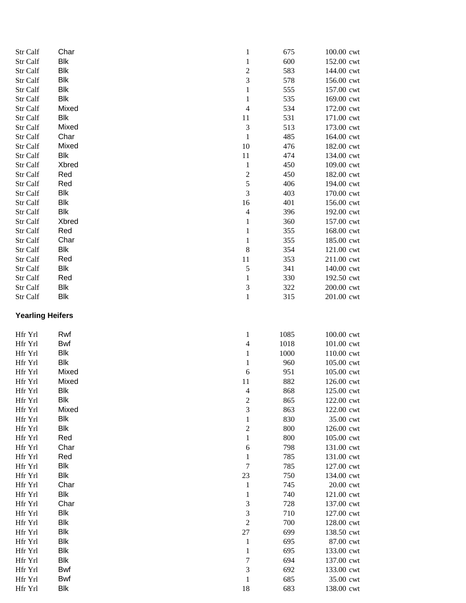| Str Calf                | Char              | $\mathbf{1}$             | 675  | 100.00 cwt |
|-------------------------|-------------------|--------------------------|------|------------|
| Str Calf                | <b>Blk</b>        | $\mathbf 1$              | 600  | 152.00 cwt |
| Str Calf                | <b>Blk</b>        | $\overline{\mathbf{c}}$  | 583  | 144.00 cwt |
| Str Calf                | Blk               | 3                        | 578  | 156.00 cwt |
| Str Calf                | Blk               | $\mathbf{1}$             | 555  | 157.00 cwt |
| Str Calf                | Blk               | $\mathbf{1}$             | 535  | 169.00 cwt |
| Str Calf                | Mixed             | $\overline{4}$           | 534  | 172.00 cwt |
| Str Calf                | <b>Blk</b>        | 11                       | 531  | 171.00 cwt |
| Str Calf                | Mixed             | 3                        | 513  | 173.00 cwt |
| Str Calf                | Char              | $\mathbf{1}$             | 485  | 164.00 cwt |
| Str Calf                | Mixed             | 10                       | 476  | 182.00 cwt |
| Str Calf                | Blk               | 11                       | 474  | 134.00 cwt |
| Str Calf                | Xbred             | $\mathbf{1}$             | 450  | 109.00 cwt |
| Str Calf                | Red               | $\overline{\mathbf{c}}$  | 450  | 182.00 cwt |
| Str Calf                | Red               | 5                        | 406  | 194.00 cwt |
| Str Calf                | Blk               | 3                        | 403  | 170.00 cwt |
| Str Calf                | Blk               | 16                       | 401  | 156.00 cwt |
| Str Calf                | Blk               | $\overline{4}$           | 396  | 192.00 cwt |
| Str Calf                | Xbred             | $\mathbf{1}$             | 360  | 157.00 cwt |
| Str Calf                | Red               | $\mathbf{1}$             | 355  | 168.00 cwt |
| Str Calf                | Char              | $\,1$                    | 355  | 185.00 cwt |
| Str Calf                | Blk               | $\,$ 8 $\,$              | 354  | 121.00 cwt |
| Str Calf                | Red               | 11                       | 353  | 211.00 cwt |
| Str Calf                | Blk               | 5                        | 341  | 140.00 cwt |
| Str Calf                | Red               | $\mathbf{1}$             | 330  | 192.50 cwt |
| Str Calf                | Blk               | 3                        | 322  | 200.00 cwt |
| Str Calf                | <b>Blk</b>        | $\mathbf{1}$             | 315  | 201.00 cwt |
|                         |                   |                          |      |            |
| <b>Yearling Heifers</b> |                   |                          |      |            |
| Hfr Yrl                 | Rwf               | $\mathbf{1}$             | 1085 | 100.00 cwt |
| Hfr Yrl                 | <b>Bwf</b>        | $\overline{\mathcal{L}}$ | 1018 | 101.00 cwt |
| Hfr Yrl                 | Blk               | $\mathbf{1}$             | 1000 | 110.00 cwt |
| Hfr Yrl                 | Blk               | $\mathbf{1}$             | 960  | 105.00 cwt |
| Hfr Yrl                 | Mixed             | 6                        | 951  | 105.00 cwt |
| Hfr Yrl                 | Mixed             | 11                       | 882  | 126.00 cwt |
| Hfr Yrl                 | Blk               | 4                        | 868  | 125.00 cwt |
| Hfr Yrl                 | <b>Blk</b>        | $\overline{c}$           | 865  | 122.00 cwt |
| Hfr Yrl                 | Mixed             | 3                        | 863  | 122.00 cwt |
| Hfr Yrl                 | Blk               | $\mathbf{1}$             | 830  | 35.00 cwt  |
| Hfr Yrl                 | Blk               | $\overline{c}$           | 800  | 126.00 cwt |
| Hfr Yrl                 | Red               | $\mathbf{1}$             | 800  | 105.00 cwt |
| Hfr Yrl                 | Char              | 6                        | 798  | 131.00 cwt |
| Hfr Yrl                 | Red               | $\mathbf{1}$             | 785  | 131.00 cwt |
| Hfr Yrl                 | <b>Blk</b>        | $\sqrt{ }$               | 785  | 127.00 cwt |
| Hfr Yrl                 | <b>Blk</b>        | 23                       | 750  | 134.00 cwt |
| Hfr Yrl                 | Char              | $\mathbf{1}$             | 745  | 20.00 cwt  |
| Hfr Yrl                 | Blk               | $\mathbf{1}$             | 740  | 121.00 cwt |
| Hfr Yrl                 | Char              | 3                        | 728  | 137.00 cwt |
| Hfr Yrl                 | Blk               | 3                        | 710  | 127.00 cwt |
| Hfr Yrl                 | <b>Blk</b>        | $\overline{c}$           | 700  | 128.00 cwt |
| Hfr Yrl                 | <b>Blk</b>        | $27\,$                   | 699  | 138.50 cwt |
| Hfr Yrl                 | <b>Blk</b>        | $\mathbf{1}$             | 695  | 87.00 cwt  |
| Hfr Yrl                 | Blk               | $\mathbf{1}$             | 695  | 133.00 cwt |
| Hfr Yrl                 | Blk               | $\overline{7}$           | 694  | 137.00 cwt |
| Hfr Yrl                 |                   | 3                        | 692  | 133.00 cwt |
|                         |                   |                          |      |            |
| Hfr Yrl                 | Bwf<br><b>Bwf</b> | $\mathbf{1}$             | 685  | 35.00 cwt  |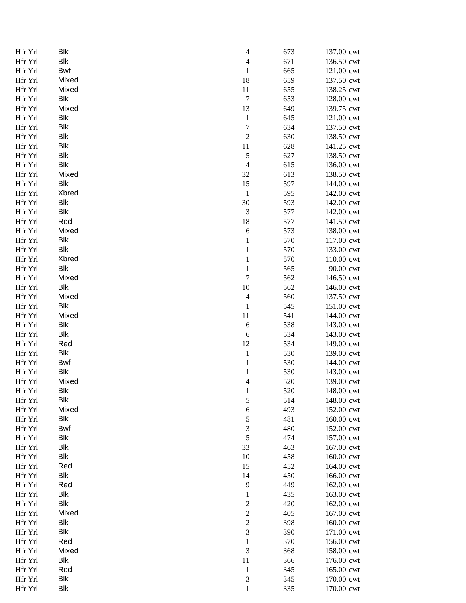| Hfr Yrl | <b>Blk</b>   | $\overline{4}$           | 673 | 137.00 cwt |
|---------|--------------|--------------------------|-----|------------|
| Hfr Yrl | Blk          | $\overline{\mathcal{L}}$ | 671 | 136.50 cwt |
| Hfr Yrl | <b>Bwf</b>   | $\mathbf{1}$             | 665 | 121.00 cwt |
| Hfr Yrl | Mixed        | 18                       | 659 | 137.50 cwt |
| Hfr Yrl | Mixed        | 11                       | 655 | 138.25 cwt |
| Hfr Yrl | <b>Blk</b>   | $\boldsymbol{7}$         | 653 | 128.00 cwt |
| Hfr Yrl | Mixed        | 13                       | 649 | 139.75 cwt |
| Hfr Yrl | Blk          | $\mathbf{1}$             | 645 | 121.00 cwt |
| Hfr Yrl | Blk          | $\overline{7}$           | 634 | 137.50 cwt |
| Hfr Yrl | Blk          | $\overline{c}$           | 630 | 138.50 cwt |
| Hfr Yrl | Blk          | 11                       | 628 | 141.25 cwt |
| Hfr Yrl | <b>Blk</b>   | $\sqrt{5}$               | 627 | 138.50 cwt |
| Hfr Yrl | Blk          | $\overline{4}$           | 615 | 136.00 cwt |
| Hfr Yrl | Mixed        | 32                       | 613 | 138.50 cwt |
| Hfr Yrl | Blk          | 15                       | 597 | 144.00 cwt |
| Hfr Yrl | <b>Xbred</b> | $\mathbf 1$              | 595 | 142.00 cwt |
| Hfr Yrl | Blk          | 30                       | 593 | 142.00 cwt |
| Hfr Yrl | Blk          | $\sqrt{3}$               | 577 | 142.00 cwt |
| Hfr Yrl | Red          | 18                       | 577 | 141.50 cwt |
| Hfr Yrl | Mixed        | 6                        | 573 | 138.00 cwt |
| Hfr Yrl | Blk          | $\mathbf{1}$             | 570 | 117.00 cwt |
| Hfr Yrl | <b>Blk</b>   | $\mathbf{1}$             | 570 | 133.00 cwt |
| Hfr Yrl | Xbred        | $\mathbf{1}$             | 570 | 110.00 cwt |
| Hfr Yrl | Blk          | $\mathbf{1}$             | 565 | 90.00 cwt  |
| Hfr Yrl | Mixed        | $\overline{7}$           | 562 | 146.50 cwt |
| Hfr Yrl | Blk          | 10                       | 562 | 146.00 cwt |
| Hfr Yrl | Mixed        | $\overline{4}$           | 560 | 137.50 cwt |
| Hfr Yrl | <b>Blk</b>   | $\mathbf 1$              | 545 | 151.00 cwt |
| Hfr Yrl | Mixed        | 11                       | 541 | 144.00 cwt |
| Hfr Yrl | <b>Blk</b>   | 6                        | 538 | 143.00 cwt |
| Hfr Yrl | Blk          | 6                        | 534 | 143.00 cwt |
| Hfr Yrl | Red          | 12                       | 534 | 149.00 cwt |
| Hfr Yrl | Blk          | $\mathbf{1}$             | 530 | 139.00 cwt |
| Hfr Yrl | Bwf          | $\mathbf{1}$             | 530 | 144.00 cwt |
| Hfr Yrl | Blk          | $\mathbf{1}$             | 530 | 143.00 cwt |
| Hfr Yrl | Mixed        | 4                        | 520 | 139.00 cwt |
| Hfr Yrl | <b>Blk</b>   | $\mathbf{1}$             | 520 | 148.00 cwt |
| Hfr Yrl | <b>Blk</b>   | 5                        | 514 | 148.00 cwt |
| Hfr Yrl | Mixed        | 6                        | 493 | 152.00 cwt |
| Hfr Yrl | Blk          | 5                        | 481 | 160.00 cwt |
| Hfr Yrl | <b>Bwf</b>   | 3                        | 480 | 152.00 cwt |
| Hfr Yrl | <b>Blk</b>   | 5                        | 474 | 157.00 cwt |
| Hfr Yrl | <b>Blk</b>   | 33                       | 463 | 167.00 cwt |
| Hfr Yrl | Blk          | 10                       | 458 | 160.00 cwt |
| Hfr Yrl | Red          | 15                       | 452 | 164.00 cwt |
| Hfr Yrl | <b>Blk</b>   | 14                       | 450 | 166.00 cwt |
|         | Red          | 9                        | 449 |            |
| Hfr Yrl | Blk          |                          |     | 162.00 cwt |
| Hfr Yrl | Blk          | $\mathbf{1}$             | 435 | 163.00 cwt |
| Hfr Yrl | Mixed        | $\overline{\mathbf{c}}$  | 420 | 162.00 cwt |
| Hfr Yrl |              | $\overline{\mathbf{c}}$  | 405 | 167.00 cwt |
| Hfr Yrl | <b>Blk</b>   | $\overline{\mathbf{c}}$  | 398 | 160.00 cwt |
| Hfr Yrl | Blk          | 3                        | 390 | 171.00 cwt |
| Hfr Yrl | Red          | $\,1$                    | 370 | 156.00 cwt |
| Hfr Yrl | Mixed        | 3                        | 368 | 158.00 cwt |
| Hfr Yrl | Blk          | $11\,$                   | 366 | 176.00 cwt |
| Hfr Yrl | Red          | $\mathbf{1}$             | 345 | 165.00 cwt |
| Hfr Yrl | Blk          | $\mathfrak{Z}$           | 345 | 170.00 cwt |
| Hfr Yrl | Blk          | $\,1$                    | 335 | 170.00 cwt |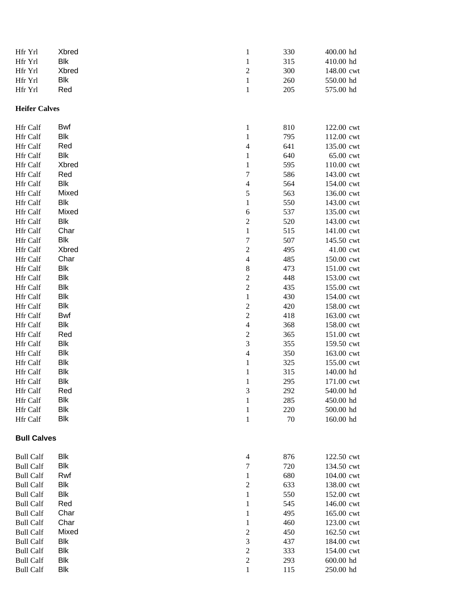| Hfr Yrl              | Xbred      | $\mathbf{1}$             | 330 | 400.00 hd  |
|----------------------|------------|--------------------------|-----|------------|
| Hfr Yrl              | <b>Blk</b> | $\mathbf{1}$             | 315 | 410.00 hd  |
| Hfr Yrl              | Xbred      | $\overline{c}$           | 300 | 148.00 cwt |
| Hfr Yrl              | Blk        | $\,1$                    | 260 | 550.00 hd  |
| Hfr Yrl              | Red        | $\mathbf{1}$             | 205 | 575.00 hd  |
|                      |            |                          |     |            |
| <b>Heifer Calves</b> |            |                          |     |            |
| Hfr Calf             | Bwf        | $\mathbf{1}$             | 810 | 122.00 cwt |
| Hfr Calf             | Blk        | $\mathbf{1}$             | 795 | 112.00 cwt |
| Hfr Calf             | Red        | $\overline{\mathcal{L}}$ | 641 | 135.00 cwt |
| Hfr Calf             | Blk        | $\mathbf{1}$             | 640 | 65.00 cwt  |
| Hfr Calf             | Xbred      | $\mathbf{1}$             | 595 | 110.00 cwt |
| Hfr Calf             | Red        | $\sqrt{ }$               | 586 | 143.00 cwt |
| Hfr Calf             | Blk        | $\overline{\mathcal{L}}$ | 564 | 154.00 cwt |
| Hfr Calf             | Mixed      | 5                        | 563 | 136.00 cwt |
| Hfr Calf             | <b>Blk</b> | $\mathbf{1}$             | 550 | 143.00 cwt |
| Hfr Calf             | Mixed      | 6                        | 537 | 135.00 cwt |
| Hfr Calf             | <b>Blk</b> | $\overline{\mathbf{c}}$  | 520 | 143.00 cwt |
| Hfr Calf             | Char       | $\,1$                    | 515 | 141.00 cwt |
| Hfr Calf             | <b>Blk</b> | $\overline{7}$           | 507 | 145.50 cwt |
| Hfr Calf             | Xbred      | $\overline{c}$           | 495 | 41.00 cwt  |
| Hfr Calf             | Char       | $\overline{\mathcal{L}}$ | 485 | 150.00 cwt |
| Hfr Calf             | <b>Blk</b> | $\,$ 8 $\,$              | 473 | 151.00 cwt |
| Hfr Calf             | <b>Blk</b> | $\overline{c}$           | 448 | 153.00 cwt |
| Hfr Calf             | <b>Blk</b> | $\overline{c}$           | 435 | 155.00 cwt |
| Hfr Calf             | <b>Blk</b> | $\mathbf{1}$             | 430 | 154.00 cwt |
| <b>Hfr Calf</b>      | <b>Blk</b> | $\overline{\mathbf{c}}$  | 420 | 158.00 cwt |
| Hfr Calf             | Bwf        | $\overline{c}$           | 418 | 163.00 cwt |
| Hfr Calf             | Blk        | $\overline{4}$           | 368 | 158.00 cwt |
| Hfr Calf             | Red        | $\overline{c}$           | 365 | 151.00 cwt |
| Hfr Calf             | <b>Blk</b> | 3                        | 355 | 159.50 cwt |
| Hfr Calf             | Blk        | $\overline{4}$           | 350 | 163.00 cwt |
| Hfr Calf             | <b>Blk</b> | $\mathbf 1$              | 325 | 155.00 cwt |
| Hfr Calf             | <b>Blk</b> | $\mathbf{1}$             | 315 | 140.00 hd  |
| Hfr Calf             | Blk        | $\mathbf{1}$             | 295 | 171.00 cwt |
| Hfr Calf             | Red        | 3                        | 292 | 540.00 hd  |
| Hfr Calf             | <b>Blk</b> | $\mathbf{1}$             | 285 | 450.00 hd  |
| Hfr Calf             | <b>Blk</b> | $\mathbf{1}$             | 220 | 500.00 hd  |
| <b>Hfr Calf</b>      | <b>Blk</b> | $\mathbf{1}$             | 70  | 160.00 hd  |
| <b>Bull Calves</b>   |            |                          |     |            |
| <b>Bull Calf</b>     | <b>Blk</b> | $\overline{4}$           | 876 | 122.50 cwt |
| <b>Bull Calf</b>     | <b>Blk</b> | $\sqrt{ }$               | 720 | 134.50 cwt |
| <b>Bull Calf</b>     | Rwf        | $\mathbf{1}$             | 680 | 104.00 cwt |
| <b>Bull Calf</b>     | <b>Blk</b> | $\overline{c}$           | 633 | 138.00 cwt |
| <b>Bull Calf</b>     | <b>Blk</b> | $\mathbf{1}$             | 550 | 152.00 cwt |
| <b>Bull Calf</b>     | Red        | $\mathbf{1}$             | 545 | 146.00 cwt |
| <b>Bull Calf</b>     | Char       | $\mathbf{1}$             | 495 | 165.00 cwt |
| <b>Bull Calf</b>     | Char       | $\mathbf{1}$             | 460 | 123.00 cwt |
| <b>Bull Calf</b>     | Mixed      | $\overline{c}$           | 450 | 162.50 cwt |
| <b>Bull Calf</b>     | <b>Blk</b> | $\mathfrak{Z}$           | 437 | 184.00 cwt |
| <b>Bull Calf</b>     | Blk        | $\overline{c}$           | 333 | 154.00 cwt |
| <b>Bull Calf</b>     | <b>Blk</b> | $\overline{c}$           | 293 | 600.00 hd  |
| <b>Bull Calf</b>     | <b>Blk</b> | $\mathbf{1}$             | 115 | 250.00 hd  |
|                      |            |                          |     |            |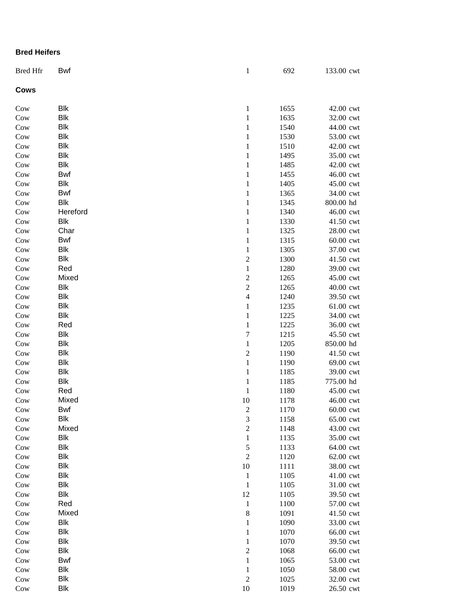## **Bred Heifers**

| <b>Bred Hfr</b> | <b>Bwf</b> | $\mathbf{1}$            | 692  | 133.00 cwt |
|-----------------|------------|-------------------------|------|------------|
| <b>Cows</b>     |            |                         |      |            |
| Cow             | Blk        | $\mathbf{1}$            | 1655 | 42.00 cwt  |
| Cow             | <b>Blk</b> | $\mathbf{1}$            | 1635 | 32.00 cwt  |
| Cow             | <b>Blk</b> | $\mathbf{1}$            | 1540 | 44.00 cwt  |
| Cow             | <b>Blk</b> | $\mathbf{1}$            | 1530 | 53.00 cwt  |
| Cow             | <b>Blk</b> | $\mathbf{1}$            | 1510 | 42.00 cwt  |
| Cow             | <b>Blk</b> | $\mathbf{1}$            | 1495 | 35.00 cwt  |
| Cow             | <b>Blk</b> | $\mathbf{1}$            | 1485 | 42.00 cwt  |
| Cow             | Bwf        | $\,1\,$                 | 1455 | 46.00 cwt  |
| Cow             | <b>Blk</b> | $\mathbf{1}$            | 1405 | 45.00 cwt  |
| Cow             | Bwf        | $\,1$                   | 1365 | 34.00 cwt  |
| Cow             | <b>Blk</b> | $\,1$                   | 1345 | 800.00 hd  |
| Cow             | Hereford   | $\mathbf 1$             | 1340 | 46.00 cwt  |
| Cow             | <b>Blk</b> | $\mathbf{1}$            | 1330 | 41.50 cwt  |
| Cow             | Char       | $\mathbf{1}$            | 1325 | 28.00 cwt  |
| Cow             | Bwf        | $\mathbf{1}$            | 1315 | 60.00 cwt  |
| Cow             | <b>Blk</b> | $\mathbf{1}$            | 1305 | 37.00 cwt  |
| Cow             | <b>Blk</b> | $\overline{\mathbf{c}}$ | 1300 | 41.50 cwt  |
| Cow             | Red        | $\mathbf{1}$            | 1280 | 39.00 cwt  |
| Cow             | Mixed      |                         | 1265 | 45.00 cwt  |
| Cow             | <b>Blk</b> | $\frac{2}{2}$           | 1265 | 40.00 cwt  |
| Cow             | <b>Blk</b> | $\overline{4}$          | 1240 | 39.50 cwt  |
| Cow             | <b>Blk</b> | $\mathbf{1}$            | 1235 | 61.00 cwt  |
| Cow             | <b>Blk</b> | $\,1$                   | 1225 | 34.00 cwt  |
| Cow             | Red        | $\,1$                   | 1225 | 36.00 cwt  |
| Cow             | <b>Blk</b> | $\boldsymbol{7}$        | 1215 | 45.50 cwt  |
| Cow             | Blk        | $\,1$                   | 1205 | 850.00 hd  |
| Cow             | Blk        | $\overline{\mathbf{c}}$ | 1190 | 41.50 cwt  |
| Cow             | <b>Blk</b> | $\,1$                   | 1190 | 69.00 cwt  |
| Cow             | <b>Blk</b> | $\,1\,$                 | 1185 | 39.00 cwt  |
| $_{\rm{Cow}}$   | <b>Blk</b> | $\,1\,$                 | 1185 | 775.00 hd  |
| Cow             | Red        | $\mathbf{1}$            | 1180 | 45.00 cwt  |
| Cow             | Mixed      | 10                      | 1178 | 46.00 cwt  |
| Cow             | Bwf        | $\overline{\mathbf{c}}$ | 1170 | 60.00 cwt  |
| Cow             | <b>Blk</b> | 3                       | 1158 | 65.00 cwt  |
| Cow             | Mixed      | $\overline{c}$          | 1148 | 43.00 cwt  |
| Cow             | <b>Blk</b> | $\mathbf{1}$            | 1135 | 35.00 cwt  |
| Cow             | <b>Blk</b> | 5                       | 1133 | 64.00 cwt  |
| Cow             | Blk        | $\overline{2}$          | 1120 | 62.00 cwt  |
| Cow             | Blk        | 10                      | 1111 | 38.00 cwt  |
| Cow             | <b>Blk</b> | $\,1\,$                 | 1105 | 41.00 cwt  |
| Cow             | Blk        | $\mathbf 1$             | 1105 | 31.00 cwt  |
| Cow             | <b>Blk</b> | 12                      | 1105 | 39.50 cwt  |
| Cow             | Red        | $\,1\,$                 | 1100 | 57.00 cwt  |
| Cow             | Mixed      | $\,8\,$                 | 1091 | 41.50 cwt  |
| Cow             | <b>Blk</b> | $\,1$                   | 1090 | 33.00 cwt  |
| Cow             | <b>Blk</b> | $\,1$                   | 1070 | 66.00 cwt  |
| Cow             | <b>Blk</b> | $\,1$                   | 1070 | 39.50 cwt  |
| Cow             | Blk        | $\overline{c}$          | 1068 | 66.00 cwt  |
| $_{\text{Cow}}$ | Bwf        | $\,1$                   | 1065 | 53.00 cwt  |
| Cow             | Blk        | $\mathbf{1}$            | 1050 | 58.00 cwt  |
| Cow             | Blk        | $\sqrt{2}$              | 1025 | 32.00 cwt  |
| Cow             | <b>Blk</b> | 10                      | 1019 | 26.50 cwt  |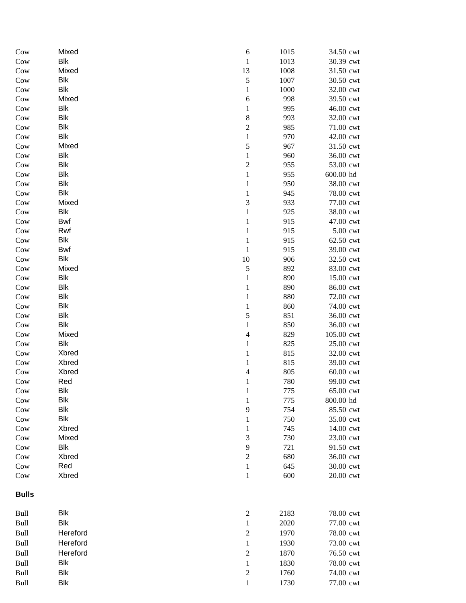| Cow          | Mixed      | 6                       | 1015 | 34.50 cwt                        |
|--------------|------------|-------------------------|------|----------------------------------|
| Cow          | <b>Blk</b> | $\,1$                   | 1013 | 30.39 cwt                        |
| Cow          | Mixed      | 13                      | 1008 | 31.50 cwt                        |
| Cow          | <b>Blk</b> | 5                       | 1007 | 30.50 cwt                        |
| Cow          | <b>Blk</b> | $\mathbf{1}$            | 1000 | 32.00 cwt                        |
| Cow          | Mixed      | 6                       | 998  | 39.50 cwt                        |
| Cow          | <b>Blk</b> | $\mathbf{1}$            | 995  | 46.00 cwt                        |
| Cow          | <b>Blk</b> | 8                       | 993  | 32.00 cwt                        |
| Cow          | <b>Blk</b> | $\overline{\mathbf{c}}$ | 985  | 71.00 cwt                        |
| Cow          | <b>Blk</b> | $\mathbf{1}$            | 970  | 42.00 cwt                        |
| Cow          | Mixed      | 5                       | 967  | 31.50 cwt                        |
| Cow          | <b>Blk</b> | $\mathbf{1}$            | 960  | 36.00 cwt                        |
| Cow          | <b>Blk</b> | $\overline{c}$          | 955  | 53.00 cwt                        |
| Cow          | <b>Blk</b> | $\,1$                   | 955  | 600.00 hd                        |
| Cow          | <b>Blk</b> | $\mathbf{1}$            | 950  | 38.00 cwt                        |
| Cow          | <b>Blk</b> | $\mathbf{1}$            | 945  | 78.00 cwt                        |
| Cow          | Mixed      | 3                       | 933  | 77.00 cwt                        |
| Cow          | <b>Blk</b> | $\,1$                   | 925  | 38.00 cwt                        |
| Cow          | <b>Bwf</b> | $\mathbf{1}$            | 915  | 47.00 cwt                        |
| Cow          | Rwf        | $\mathbf{1}$            | 915  | $5.00$ $\ensuremath{\text{cwt}}$ |
| Cow          | <b>Blk</b> | $\mathbf{1}$            | 915  | 62.50 cwt                        |
| Cow          | <b>Bwf</b> | $\,1$                   | 915  | 39.00 cwt                        |
| Cow          | <b>Blk</b> | 10                      | 906  | 32.50 cwt                        |
| Cow          | Mixed      | 5                       | 892  | 83.00 cwt                        |
| Cow          | <b>Blk</b> | $\mathbf{1}$            | 890  | 15.00 cwt                        |
| Cow          | <b>Blk</b> | $\mathbf{1}$            | 890  | 86.00 cwt                        |
| Cow          | <b>Blk</b> | $\mathbf{1}$            | 880  | 72.00 cwt                        |
| Cow          | <b>Blk</b> | $\mathbf{1}$            | 860  | 74.00 cwt                        |
| Cow          | <b>Blk</b> | 5                       | 851  | 36.00 cwt                        |
| Cow          | <b>Blk</b> | $\mathbf{1}$            | 850  | 36.00 cwt                        |
| Cow          | Mixed      | $\overline{4}$          | 829  | 105.00 cwt                       |
| Cow          | <b>Blk</b> | $\mathbf{1}$            | 825  | 25.00 cwt                        |
| Cow          | Xbred      | $\mathbf{1}$            | 815  | 32.00 cwt                        |
| Cow          | Xbred      | $\mathbf{1}$            | 815  | 39.00 cwt                        |
| Cow          | Xbred      | $\overline{4}$          | 805  | 60.00 cwt                        |
| Cow          | Red        | $\mathbf{1}$            | 780  | 99.00 cwt                        |
| Cow          | <b>Blk</b> | 1                       | 775  | 65.00 cwt                        |
| Cow          | <b>Blk</b> | 1                       | 775  | 800.00 hd                        |
| Cow          | <b>Blk</b> | 9                       | 754  | 85.50 cwt                        |
| Cow          | <b>Blk</b> | 1                       | 750  | 35.00 cwt                        |
| Cow          | Xbred      | 1                       | 745  | 14.00 cwt                        |
| Cow          | Mixed      | 3                       | 730  | 23.00 cwt                        |
| Cow          | Blk        | 9                       | 721  | 91.50 cwt                        |
| Cow          | Xbred      | $\overline{c}$          | 680  | 36.00 cwt                        |
| Cow          | Red        | $\mathbf{1}$            | 645  | 30.00 cwt                        |
| Cow          | Xbred      | $\mathbf{1}$            | 600  | 20.00 cwt                        |
| <b>Bulls</b> |            |                         |      |                                  |
| Bull         | <b>Blk</b> | $\overline{c}$          | 2183 | 78.00 cwt                        |
| Bull         | <b>Blk</b> | $\mathbf{1}$            | 2020 | 77.00 cwt                        |
| Bull         | Hereford   | $\sqrt{2}$              | 1970 | 78.00 cwt                        |
| Bull         | Hereford   | $\mathbf{1}$            | 1930 | 73.00 cwt                        |
| Bull         | Hereford   | $\overline{c}$          | 1870 | 76.50 cwt                        |
| Bull         | Blk        | $\mathbf{1}$            | 1830 | 78.00 cwt                        |
| Bull         | <b>Blk</b> | $\boldsymbol{2}$        | 1760 | 74.00 cwt                        |
| Bull         | <b>Blk</b> | 1                       | 1730 | 77.00 cwt                        |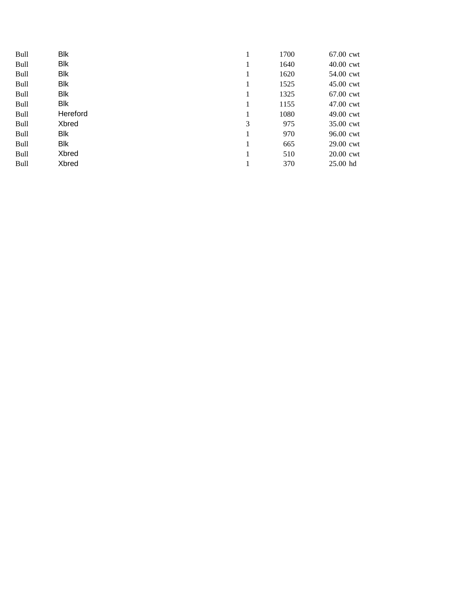| <b>Bull</b> | <b>Blk</b> |   | 1700 | 67.00 cwt |
|-------------|------------|---|------|-----------|
| <b>Bull</b> | Blk        |   | 1640 | 40.00 cwt |
| <b>Bull</b> | <b>Blk</b> |   | 1620 | 54.00 cwt |
| Bull        | <b>Blk</b> | 1 | 1525 | 45.00 cwt |
| <b>Bull</b> | Blk        | 1 | 1325 | 67.00 cwt |
| <b>Bull</b> | <b>Blk</b> | 1 | 1155 | 47.00 cwt |
| <b>Bull</b> | Hereford   |   | 1080 | 49.00 cwt |
| Bull        | Xbred      | 3 | 975  | 35.00 cwt |
| Bull        | Blk        |   | 970  | 96.00 cwt |
| Bull        | <b>Blk</b> |   | 665  | 29.00 cwt |
| <b>Bull</b> | Xbred      |   | 510  | 20.00 cwt |
| <b>Bull</b> | Xbred      |   | 370  | 25.00 hd  |